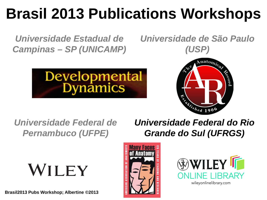# **Brasil 2013 Publications Workshops**

*Universidade Estadual de Campinas – SP (UNICAMP)*

*Universidade de São Paulo (USP)*





*Universidade Federal de Pernambuco (UFPE)*

*Universidade Federal do Rio Grande do Sul (UFRGS)*





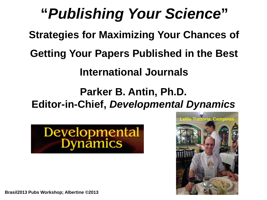# **"***Publishing Your Science***"**

**Strategies for Maximizing Your Chances of** 

**Getting Your Papers Published in the Best** 

**International Journals**

**Parker B. Antin, Ph.D. Editor-in-Chief,** *Developmental Dynamics*





**Brasil2013 Pubs Workshop; Albertine ©2013**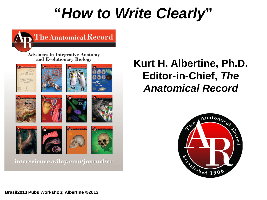## **"***How to Write Clearly***"**



### **Kurt H. Albertine, Ph.D. Editor-in-Chief,** *The Anatomical Record*



**Brasil2013 Pubs Workshop; Albertine ©2013**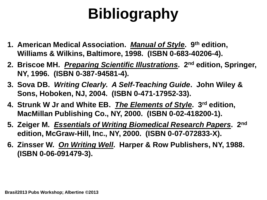# **Bibliography**

- **1. American Medical Association.** *Manual of Style***. 9th edition, Williams & Wilkins, Baltimore, 1998. (ISBN 0-683-40206-4).**
- **2. Briscoe MH.** *Preparing Scientific Illustrations***. 2nd edition, Springer, NY, 1996. (ISBN 0-387-94581-4).**
- **3. Sova DB.** *Writing Clearly. A Self-Teaching Guide***. John Wiley & Sons, Hoboken, NJ, 2004. (ISBN 0-471-17952-33).**
- **4. Strunk W Jr and White EB.** *The Elements of Style***. 3rd edition, MacMillan Publishing Co., NY, 2000. (ISBN 0-02-418200-1).**
- **5. Zeiger M.** *Essentials of Writing Biomedical Research Papers***. 2nd edition, McGraw-Hill, Inc., NY, 2000. (ISBN 0-07-072833-X).**
- **6. Zinsser W.** *On Writing Well***. Harper & Row Publishers, NY, 1988. (ISBN 0-06-091479-3).**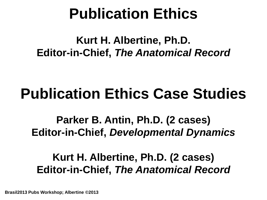## **Publication Ethics**

### **Kurt H. Albertine, Ph.D. Editor-in-Chief,** *The Anatomical Record*

## **Publication Ethics Case Studies**

**Parker B. Antin, Ph.D. (2 cases) Editor-in-Chief,** *Developmental Dynamics*

### **Kurt H. Albertine, Ph.D. (2 cases) Editor-in-Chief,** *The Anatomical Record*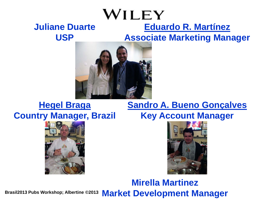#### WILEY **Eduardo R. Martínez Juliane Duarte Associate Marketing Manager**



### **Hegel Braga Country Manager, Brazil**

**USP**



### **Sandro A. Bueno Gonçalves Key Account Manager**



**Mirella Martinez Market Development Manager Brasil2013 Pubs Workshop; Albertine ©2013**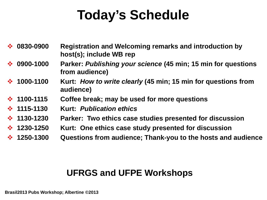### **Today's Schedule**

- **0830-0900 Registration and Welcoming remarks and introduction by host(s); include WB rep**
- **0900-1000 Parker:** *Publishing your science* **(45 min; 15 min for questions from audience)**
- **1000-1100 Kurt:** *How to write clearly* **(45 min; 15 min for questions from audience)**
- **1100-1115 Coffee break; may be used for more questions**
- **1115-1130 Kurt:** *Publication ethics*
- **1130-1230 Parker: Two ethics case studies presented for discussion**
- **1230-1250 Kurt: One ethics case study presented for discussion**
- **1250-1300 Questions from audience; Thank-you to the hosts and audience**

### **UFRGS and UFPE Workshops**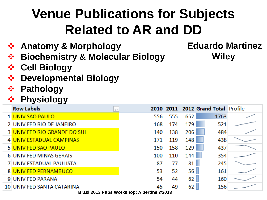## **Venue Publications for Subjects Related to AR and DD**

- **Anatomy & Morphology**
- **Biochemistry & Molecular Biology**

### **Eduardo Martinez Wiley**

- **Cell Biology**
- **❖ Developmental Biology**
- **Pathology**

### **Physiology**

| <b>Row Labels</b><br>$+$                                        |                   |     | 2010 2011 2012 Grand Total Profile |      |  |
|-----------------------------------------------------------------|-------------------|-----|------------------------------------|------|--|
| 1 UNIV SAO PAULO                                                | 556               | 555 | 652                                | 1763 |  |
| 2 UNIV FED RIO DE JANEIRO                                       | 168               | 174 | 179                                | 521  |  |
| <b>3 UNIV FED RIO GRANDE DO SUL</b>                             | 140               | 138 | 206                                | 484  |  |
| 4 UNIV ESTADUAL CAMPINAS                                        | 171               | 119 | 148                                | 438  |  |
| 5 UNIV FED SAO PAULO                                            | 150               | 158 | 129                                | 437  |  |
| 6 UNIV FED MINAS GERAIS                                         | 100               | 110 | 144                                | 354  |  |
| 7 UNIV ESTADUAL PAULISTA                                        | 87                | 77  | 81                                 | 245  |  |
| 8 UNIV FED PERNAMBUCO                                           | 53                | 52  | 56                                 | 161  |  |
| 9 UNIV FED PARANA                                               | 54                | 44  | 62                                 | 160  |  |
| 10 UNIV FED SANTA CATARINA<br><b>Desail0040 Bulge Wederland</b> | 45<br>$\sim$ ລາງາ | 49  | 62                                 | 156  |  |

**Brasil2013 Pubs Workshop; Albertine ©2013**